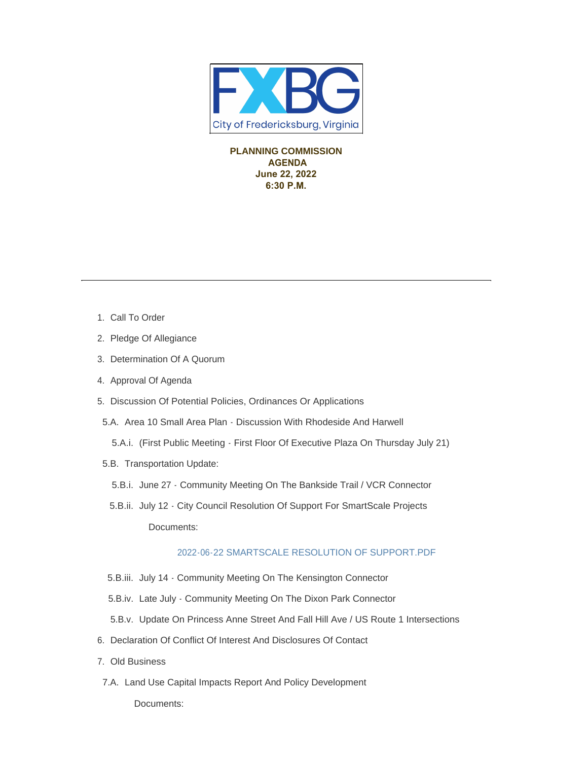

**PLANNING COMMISSION AGENDA June 22, 2022 6:30 P.M.** 

- 1. Call To Order
- 2. Pledge Of Allegiance
- 3. Determination Of A Quorum
- 4. Approval Of Agenda
- 5. Discussion Of Potential Policies, Ordinances Or Applications
- 5.A. Area 10 Small Area Plan Discussion With Rhodeside And Harwell
	- (First Public Meeting First Floor Of Executive Plaza On Thursday July 21) 5.A.i.
- 5.B. Transportation Update:
	- 5.B.i. June 27 Community Meeting On The Bankside Trail / VCR Connector
	- 5.B.ii. July 12 City Council Resolution Of Support For SmartScale Projects Documents:

## [2022-06-22 SMARTSCALE RESOLUTION OF SUPPORT.PDF](https://www.fredericksburgva.gov/AgendaCenter/ViewFile/Item/15505?fileID=12521)

- 5.B.iii. July 14 Community Meeting On The Kensington Connector
- 5.B.iv. Late July Community Meeting On The Dixon Park Connector
- 5.B.v. Update On Princess Anne Street And Fall Hill Ave / US Route 1 Intersections
- 6. Declaration Of Conflict Of Interest And Disclosures Of Contact
- Old Business 7.
- 7.A. Land Use Capital Impacts Report And Policy Development

Documents: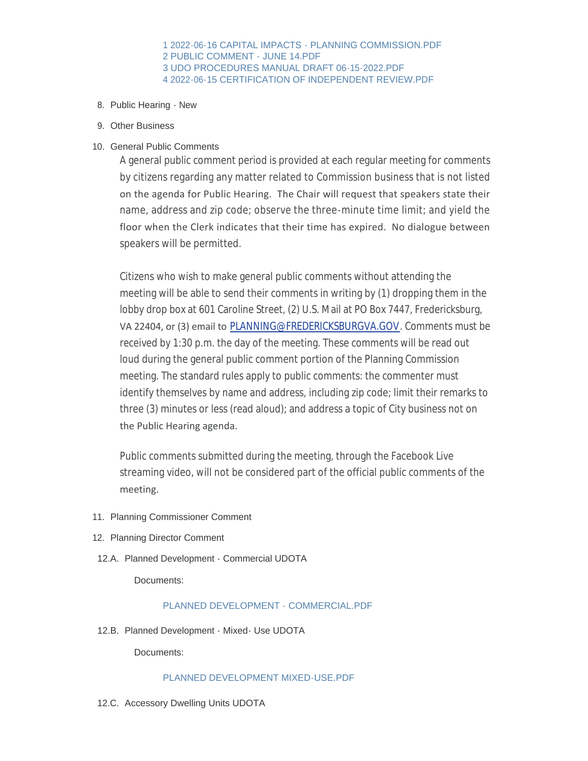[1 2022-06-16 CAPITAL IMPACTS - PLANNING COMMISSION.PDF](https://www.fredericksburgva.gov/AgendaCenter/ViewFile/Item/15485?fileID=12512) [2 PUBLIC COMMENT - JUNE 14.PDF](https://www.fredericksburgva.gov/AgendaCenter/ViewFile/Item/15485?fileID=12513) [3 UDO PROCEDURES MANUAL DRAFT 06-15-2022.PDF](https://www.fredericksburgva.gov/AgendaCenter/ViewFile/Item/15485?fileID=12514) [4 2022-06-15 CERTIFICATION OF INDEPENDENT REVIEW.PDF](https://www.fredericksburgva.gov/AgendaCenter/ViewFile/Item/15485?fileID=12515)

- 8. Public Hearing New
- 9. Other Business

#### 10. General Public Comments

A general public comment period is provided at each regular meeting for comments by citizens regarding any matter related to Commission business that is not listed on the agenda for Public Hearing. The Chair will request that speakers state their name, address and zip code; observe the three-minute time limit; and yield the floor when the Clerk indicates that their time has expired. No dialogue between speakers will be permitted.

Citizens who wish to make general public comments without attending the meeting will be able to send their comments in writing by (1) dropping them in the lobby drop box at 601 Caroline Street, (2) U.S. Mail at PO Box 7447, Fredericksburg, VA 22404, or (3) email to [PLANNING@FREDERICKSBURGVA.GOV](mailto:planning@fredericksburgva.gov). Comments must be received by 1:30 p.m. the day of the meeting. These comments will be read out loud during the general public comment portion of the Planning Commission meeting. The standard rules apply to public comments: the commenter must identify themselves by name and address, including zip code; limit their remarks to three (3) minutes or less (read aloud); and address a topic of City business not on the Public Hearing agenda.

Public comments submitted during the meeting, through the Facebook Live streaming video, will not be considered part of the official public comments of the meeting.

- 11. Planning Commissioner Comment
- 12. Planning Director Comment
- 12.A. Planned Development Commercial UDOTA

Documents:

## [PLANNED DEVELOPMENT - COMMERCIAL.PDF](https://www.fredericksburgva.gov/AgendaCenter/ViewFile/Item/15502?fileID=12517)

12.B. Planned Development - Mixed- Use UDOTA

Documents:

#### [PLANNED DEVELOPMENT MIXED-USE.PDF](https://www.fredericksburgva.gov/AgendaCenter/ViewFile/Item/15503?fileID=12518)

12.C. Accessory Dwelling Units UDOTA